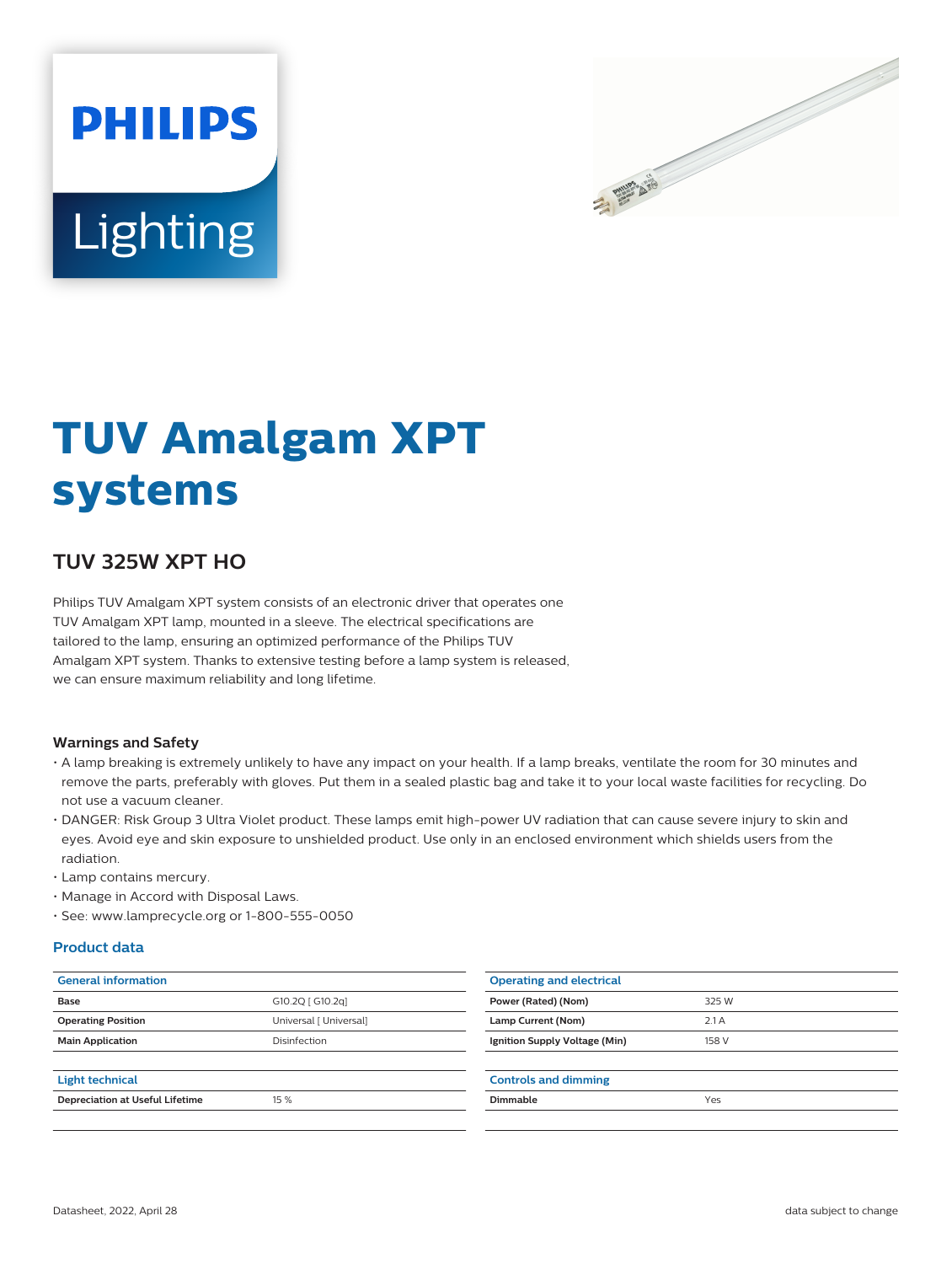



# **TUV Amalgam XPT systems**

## **TUV 325W XPT HO**

Philips TUV Amalgam XPT system consists of an electronic driver that operates one TUV Amalgam XPT lamp, mounted in a sleeve. The electrical specifications are tailored to the lamp, ensuring an optimized performance of the Philips TUV Amalgam XPT system. Thanks to extensive testing before a lamp system is released, we can ensure maximum reliability and long lifetime.

#### **Warnings and Safety**

- A lamp breaking is extremely unlikely to have any impact on your health. If a lamp breaks, ventilate the room for 30 minutes and remove the parts, preferably with gloves. Put them in a sealed plastic bag and take it to your local waste facilities for recycling. Do not use a vacuum cleaner.
- DANGER: Risk Group 3 Ultra Violet product. These lamps emit high-power UV radiation that can cause severe injury to skin and eyes. Avoid eye and skin exposure to unshielded product. Use only in an enclosed environment which shields users from the radiation.
- Lamp contains mercury.
- Manage in Accord with Disposal Laws.
- See: www.lamprecycle.org or 1-800-555-0050

#### **Product data**

| <b>General information</b>             |                        | <b>Operating and electrical</b> |               |  |
|----------------------------------------|------------------------|---------------------------------|---------------|--|
| Base                                   | G10.2Q [ G10.2q]       | Power (Rated) (Nom)             | 325 W<br>2.1A |  |
| <b>Operating Position</b>              | Universal [ Universal] | Lamp Current (Nom)              |               |  |
| <b>Main Application</b>                | Disinfection           | Ignition Supply Voltage (Min)   | 158 V         |  |
|                                        |                        |                                 |               |  |
| Light technical                        |                        | <b>Controls and dimming</b>     |               |  |
| <b>Depreciation at Useful Lifetime</b> | 15 %                   | Dimmable                        | Yes           |  |
|                                        |                        |                                 |               |  |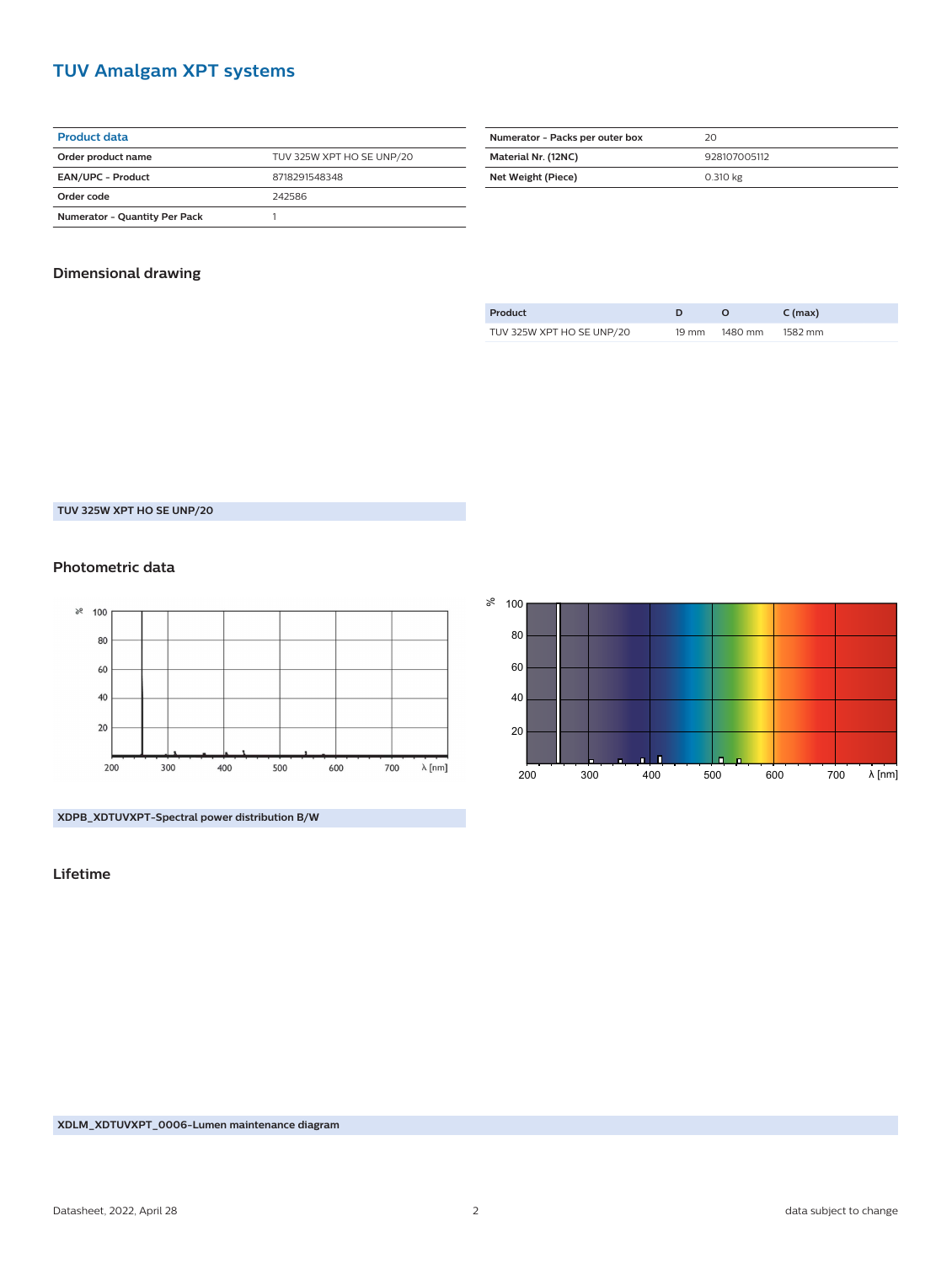## **TUV Amalgam XPT systems**

| <b>Product data</b>                  |                           |  |  |  |  |
|--------------------------------------|---------------------------|--|--|--|--|
| Order product name                   | TUV 325W XPT HO SE UNP/20 |  |  |  |  |
| <b>EAN/UPC - Product</b>             | 8718291548348             |  |  |  |  |
| Order code                           | 242586                    |  |  |  |  |
| <b>Numerator - Quantity Per Pack</b> |                           |  |  |  |  |

| Numerator - Packs per outer box | 20           |  |
|---------------------------------|--------------|--|
| Material Nr. (12NC)             | 928107005112 |  |
| Net Weight (Piece)              | 0.310 kg     |  |

### **Dimensional drawing**

| Product                   |       |         | $C$ (max) |
|---------------------------|-------|---------|-----------|
| TUV 325W XPT HO SE UNP/20 | 19 mm | 1480 mm | 1582 mm   |

**TUV 325W XPT HO SE UNP/20**

#### **Photometric data**



200 300 80 60 40 20 400 500 600 700 λ [nm]

**XDPB\_XDTUVXPT-Spectral power distribution B/W**

**Lifetime**

ి 100